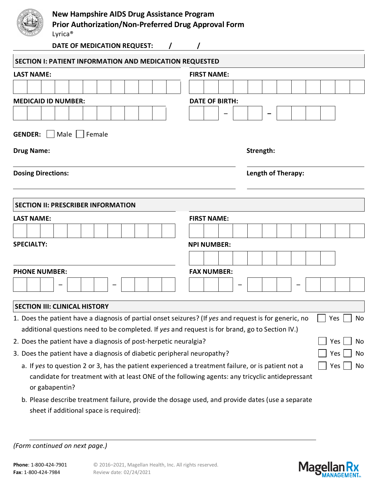|                            | Prior Authorization/Non-Preferred Drug Approval Form    |                       |                    |  |  |  |  |  |  |  |  |  |  |
|----------------------------|---------------------------------------------------------|-----------------------|--------------------|--|--|--|--|--|--|--|--|--|--|
|                            | DATE OF MEDICATION REQUEST:                             |                       |                    |  |  |  |  |  |  |  |  |  |  |
|                            | SECTION I: PATIENT INFORMATION AND MEDICATION REQUESTED |                       |                    |  |  |  |  |  |  |  |  |  |  |
| <b>LAST NAME:</b>          |                                                         | <b>FIRST NAME:</b>    |                    |  |  |  |  |  |  |  |  |  |  |
|                            |                                                         |                       |                    |  |  |  |  |  |  |  |  |  |  |
| <b>MEDICAID ID NUMBER:</b> |                                                         | <b>DATE OF BIRTH:</b> |                    |  |  |  |  |  |  |  |  |  |  |
|                            |                                                         |                       |                    |  |  |  |  |  |  |  |  |  |  |
| <b>Dosing Directions:</b>  | <b>SECTION II: PRESCRIBER INFORMATION</b>               |                       | Length of Therapy: |  |  |  |  |  |  |  |  |  |  |
| <b>LAST NAME:</b>          |                                                         | <b>FIRST NAME:</b>    |                    |  |  |  |  |  |  |  |  |  |  |
|                            |                                                         |                       |                    |  |  |  |  |  |  |  |  |  |  |
| <b>SPECIALTY:</b>          |                                                         | <b>NPI NUMBER:</b>    |                    |  |  |  |  |  |  |  |  |  |  |
|                            |                                                         |                       |                    |  |  |  |  |  |  |  |  |  |  |
| <b>PHONE NUMBER:</b>       |                                                         | <b>FAX NUMBER:</b>    |                    |  |  |  |  |  |  |  |  |  |  |
|                            |                                                         |                       |                    |  |  |  |  |  |  |  |  |  |  |

## **SECTION III: CLINICAL HISTORY**

| 1. Does the patient have a diagnosis of partial onset seizures? (If yes and request is for generic, no | $\Box$ Yes |
|--------------------------------------------------------------------------------------------------------|------------|
| additional questions need to be completed. If yes and request is for brand, go to Section IV.)         |            |

- 2. Does the patient have a diagnosis of post-herpetic neuralgia?  $\Box$  Yes  $\Box$  Yes  $\Box$  No
- 3. Does the patient have a diagnosis of diabetic peripheral neuropathy?
	- a. If *yes* to question 2 or 3, has the patient experienced a treatment failure, or is patient not a candidate for treatment with at least ONE of the following agents: any tricyclic antidepressant or gabapentin?
	- b. Please describe treatment failure, provide the dosage used, and provide dates (use a separate sheet if additional space is required):

# *(Form continued on next page.)*



N<sub>o</sub>

 $Yes \mid \mid No$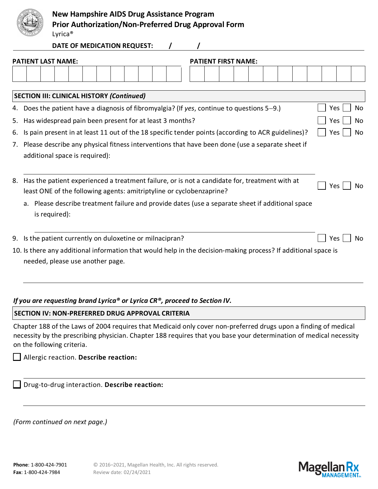

## **New Hampshire AIDS Drug Assistance Program**

**Prior Authorization/Non-Preferred Drug Approval Form**

Lyrica®

**DATE OF MEDICATION REQUEST:** 

|    | <b>PATIENT LAST NAME:</b><br><b>PATIENT FIRST NAME:</b>                                                                                                               |                       |  |  |  |  |  |  |  |  |  |
|----|-----------------------------------------------------------------------------------------------------------------------------------------------------------------------|-----------------------|--|--|--|--|--|--|--|--|--|
|    |                                                                                                                                                                       |                       |  |  |  |  |  |  |  |  |  |
|    | <b>SECTION III: CLINICAL HISTORY (Continued)</b>                                                                                                                      |                       |  |  |  |  |  |  |  |  |  |
| 4. | Does the patient have a diagnosis of fibromyalgia? (If yes, continue to questions $5-9$ .)                                                                            | Yes<br>No             |  |  |  |  |  |  |  |  |  |
| 5. | Has widespread pain been present for at least 3 months?                                                                                                               | Yes<br>No             |  |  |  |  |  |  |  |  |  |
| 6. | Is pain present in at least 11 out of the 18 specific tender points (according to ACR guidelines)?                                                                    | Yes<br>No             |  |  |  |  |  |  |  |  |  |
|    | 7. Please describe any physical fitness interventions that have been done (use a separate sheet if<br>additional space is required):                                  |                       |  |  |  |  |  |  |  |  |  |
| 8. | Has the patient experienced a treatment failure, or is not a candidate for, treatment with at<br>least ONE of the following agents: amitriptyline or cyclobenzaprine? |                       |  |  |  |  |  |  |  |  |  |
|    | Please describe treatment failure and provide dates (use a separate sheet if additional space<br>a.<br>is required):                                                  |                       |  |  |  |  |  |  |  |  |  |
| 9. | Is the patient currently on duloxetine or milnacipran?                                                                                                                | N <sub>0</sub><br>Yes |  |  |  |  |  |  |  |  |  |
|    | 10. Is there any additional information that would help in the decision-making process? If additional space is<br>needed, please use another page.                    |                       |  |  |  |  |  |  |  |  |  |

## *If you are requesting brand Lyrica® or Lyrica CR®, proceed to Section IV.*

#### **SECTION IV: NON-PREFERRED DRUG APPROVAL CRITERIA**

Chapter 188 of the Laws of 2004 requires that Medicaid only cover non-preferred drugs upon a finding of medical necessity by the prescribing physician. Chapter 188 requires that you base your determination of medical necessity on the following criteria.

#### Allergic reaction. **Describe reaction:**

| Drug-to-drug interaction. Describe reaction: |  |  |
|----------------------------------------------|--|--|
|                                              |  |  |

*(Form continued on next page.)*